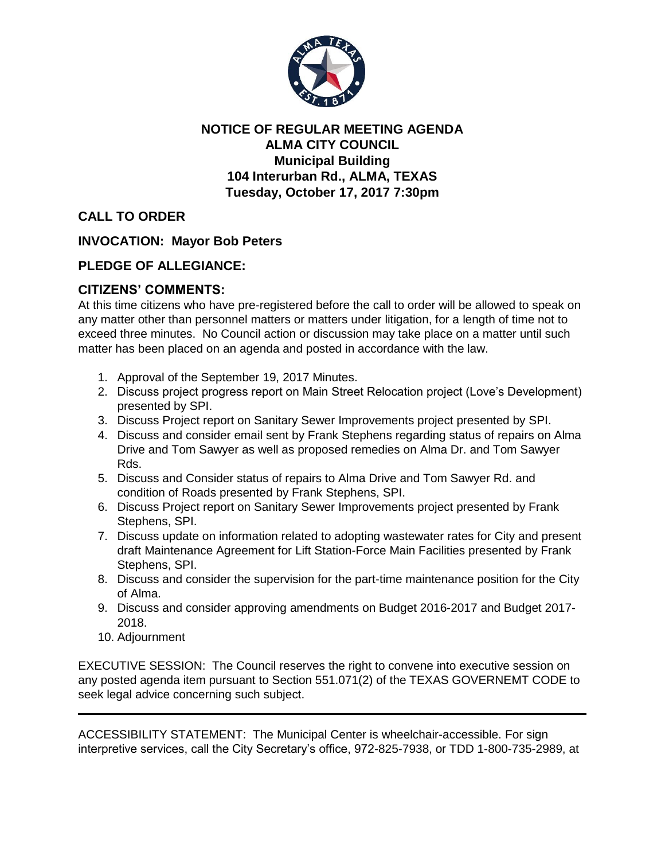

## **NOTICE OF REGULAR MEETING AGENDA ALMA CITY COUNCIL Municipal Building 104 Interurban Rd., ALMA, TEXAS Tuesday, October 17, 2017 7:30pm**

**CALL TO ORDER**

**INVOCATION: Mayor Bob Peters**

## **PLEDGE OF ALLEGIANCE:**

## **CITIZENS' COMMENTS:**

At this time citizens who have pre-registered before the call to order will be allowed to speak on any matter other than personnel matters or matters under litigation, for a length of time not to exceed three minutes. No Council action or discussion may take place on a matter until such matter has been placed on an agenda and posted in accordance with the law.

- 1. Approval of the September 19, 2017 Minutes.
- 2. Discuss project progress report on Main Street Relocation project (Love's Development) presented by SPI.
- 3. Discuss Project report on Sanitary Sewer Improvements project presented by SPI.
- 4. Discuss and consider email sent by Frank Stephens regarding status of repairs on Alma Drive and Tom Sawyer as well as proposed remedies on Alma Dr. and Tom Sawyer Rds.
- 5. Discuss and Consider status of repairs to Alma Drive and Tom Sawyer Rd. and condition of Roads presented by Frank Stephens, SPI.
- 6. Discuss Project report on Sanitary Sewer Improvements project presented by Frank Stephens, SPI.
- 7. Discuss update on information related to adopting wastewater rates for City and present draft Maintenance Agreement for Lift Station-Force Main Facilities presented by Frank Stephens, SPI.
- 8. Discuss and consider the supervision for the part-time maintenance position for the City of Alma.
- 9. Discuss and consider approving amendments on Budget 2016-2017 and Budget 2017- 2018.
- 10. Adjournment

EXECUTIVE SESSION: The Council reserves the right to convene into executive session on any posted agenda item pursuant to Section 551.071(2) of the TEXAS GOVERNEMT CODE to seek legal advice concerning such subject.

ACCESSIBILITY STATEMENT: The Municipal Center is wheelchair-accessible. For sign interpretive services, call the City Secretary's office, 972-825-7938, or TDD 1-800-735-2989, at